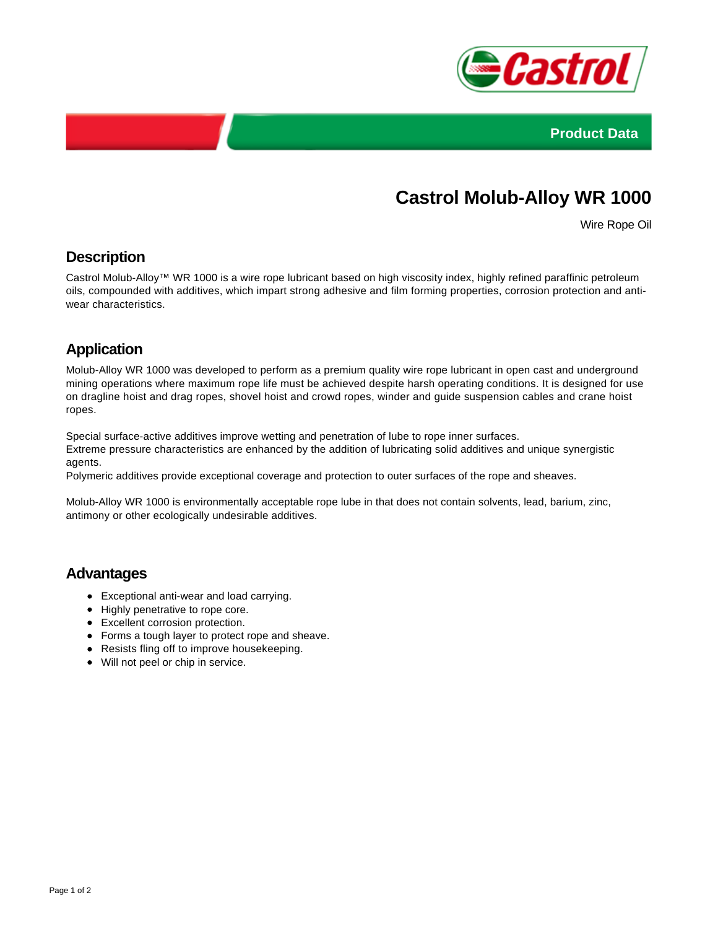



# **Castrol Molub-Alloy WR 1000**

Wire Rope Oil

#### **Description**

Castrol Molub-Alloy™ WR 1000 is a wire rope lubricant based on high viscosity index, highly refined paraffinic petroleum oils, compounded with additives, which impart strong adhesive and film forming properties, corrosion protection and antiwear characteristics.

## **Application**

Molub-Alloy WR 1000 was developed to perform as a premium quality wire rope lubricant in open cast and underground mining operations where maximum rope life must be achieved despite harsh operating conditions. It is designed for use on dragline hoist and drag ropes, shovel hoist and crowd ropes, winder and guide suspension cables and crane hoist ropes.

Special surface-active additives improve wetting and penetration of lube to rope inner surfaces.

Extreme pressure characteristics are enhanced by the addition of lubricating solid additives and unique synergistic agents.

Polymeric additives provide exceptional coverage and protection to outer surfaces of the rope and sheaves.

Molub-Alloy WR 1000 is environmentally acceptable rope lube in that does not contain solvents, lead, barium, zinc, antimony or other ecologically undesirable additives.

#### **Advantages**

- Exceptional anti-wear and load carrying.
- Highly penetrative to rope core.
- Excellent corrosion protection.
- Forms a tough layer to protect rope and sheave.
- Resists fling off to improve housekeeping.
- Will not peel or chip in service.